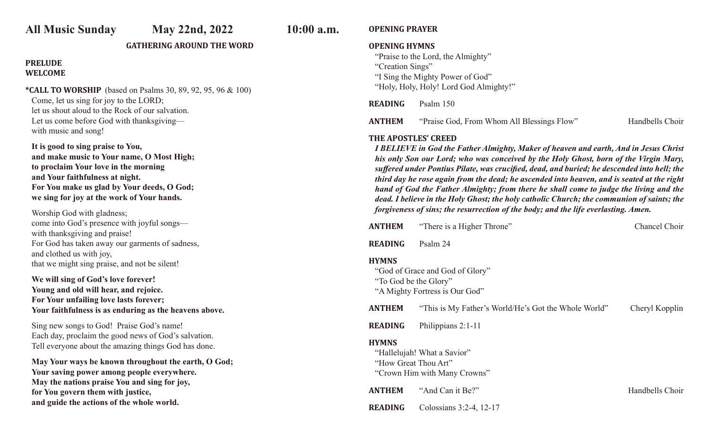# **All Music Sunday May 22nd, 2022 10:00 a.m.**

#### **GATHERING AROUND THE WORD**

# **PRELUDE WELCOME**

**\*CALL TO WORSHIP** (based on Psalms 30, 89, 92, 95, 96 & 100) Come, let us sing for joy to the LORD; let us shout aloud to the Rock of our salvation. Let us come before God with thanksgiving with music and song!

 **It is good to sing praise to You, and make music to Your name, O Most High; to proclaim Your love in the morning and Your faithfulness at night. For You make us glad by Your deeds, O God; we sing for joy at the work of Your hands.**

Worship God with gladness; come into God's presence with joyful songs with thanksgiving and praise! For God has taken away our garments of sadness, and clothed us with joy, that we might sing praise, and not be silent!

**We will sing of God's love forever! Young and old will hear, and rejoice. For Your unfailing love lasts forever; Your faithfulness is as enduring as the heavens above.** 

Sing new songs to God! Praise God's name! Each day, proclaim the good news of God's salvation. Tell everyone about the amazing things God has done.

**May Your ways be known throughout the earth, O God; Your saving power among people everywhere. May the nations praise You and sing for joy, for You govern them with justice, and guide the actions of the whole world.**

# **OPENING PRAYER**

### **OPENING HYMNS**

"Praise to the Lord, the Almighty" "Creation Sings" "I Sing the Mighty Power of God" "Holy, Holy, Holy! Lord God Almighty!"

**READING** Psalm 150

**ANTHEM** "Praise God, From Whom All Blessings Flow" Handbells Choir

#### **THE APOSTLES' CREED**

*I BELIEVE in God the Father Almighty, Maker of heaven and earth, And in Jesus Christ his only Son our Lord; who was conceived by the Holy Ghost, born of the Virgin Mary, suffered under Pontius Pilate, was crucified, dead, and buried; he descended into hell; the third day he rose again from the dead; he ascended into heaven, and is seated at the right hand of God the Father Almighty; from there he shall come to judge the living and the dead. I believe in the Holy Ghost; the holy catholic Church; the communion of saints; the forgiveness of sins; the resurrection of the body; and the life everlasting. Amen.* 

| <b>ANTHEM</b>                                                                                       | "There is a Higher Throne"                                        | Chancel Choir   |
|-----------------------------------------------------------------------------------------------------|-------------------------------------------------------------------|-----------------|
| <b>READING</b>                                                                                      | Psalm 24                                                          |                 |
| <b>HYMNS</b><br>"To God be the Glory"                                                               | "God of Grace and God of Glory"<br>"A Mighty Fortress is Our God" |                 |
| <b>ANTHEM</b>                                                                                       | "This is My Father's World/He's Got the Whole World"              | Cheryl Kopplin  |
| <b>READING</b>                                                                                      | Philippians 2:1-11                                                |                 |
| <b>HYMNS</b><br>"Hallelujah! What a Savior"<br>"How Great Thou Art"<br>"Crown Him with Many Crowns" |                                                                   |                 |
| <b>ANTHEM</b>                                                                                       | "And Can it Be?"                                                  | Handbells Choir |
| <b>READING</b>                                                                                      | Colossians 3:2-4, 12-17                                           |                 |